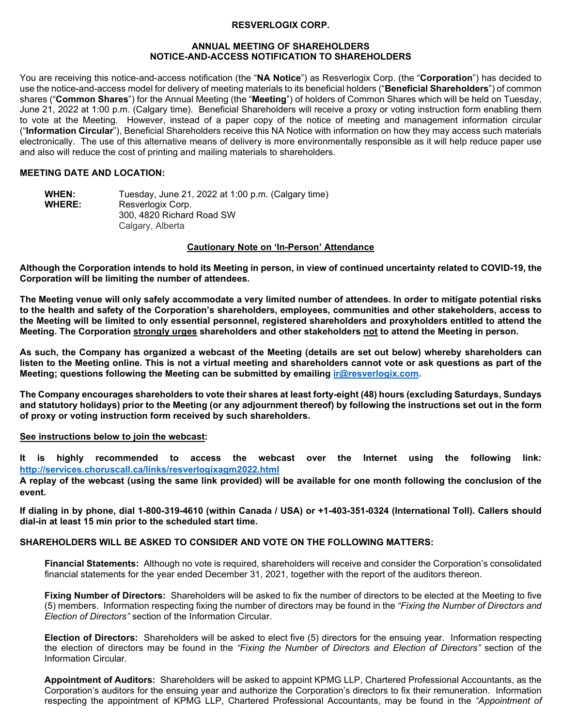### **RESVERLOGIX CORP.**

#### **ANNUAL MEETING OF SHAREHOLDERS NOTICE-AND-ACCESS NOTIFICATION TO SHAREHOLDERS**

You are receiving this notice-and-access notification (the "**NA Notice**") as Resverlogix Corp. (the "**Corporation**") has decided to use the notice-and-access model for delivery of meeting materials to its beneficial holders ("**Beneficial Shareholders**") of common shares ("**Common Shares**") for the Annual Meeting (the "**Meeting**") of holders of Common Shares which will be held on Tuesday, June 21, 2022 at 1:00 p.m. (Calgary time). Beneficial Shareholders will receive a proxy or voting instruction form enabling them to vote at the Meeting. However, instead of a paper copy of the notice of meeting and management information circular ("**Information Circular**"), Beneficial Shareholders receive this NA Notice with information on how they may access such materials electronically. The use of this alternative means of delivery is more environmentally responsible as it will help reduce paper use and also will reduce the cost of printing and mailing materials to shareholders.

# **MEETING DATE AND LOCATION:**

| <b>WHEN:</b>  | Tuesday, June 21, 2022 at 1:00 p.m. (Calgary time) |
|---------------|----------------------------------------------------|
| <b>WHERE:</b> | Resverlogix Corp.                                  |
|               | 300, 4820 Richard Road SW                          |
|               | Calgary, Alberta                                   |

### **Cautionary Note on 'In-Person' Attendance**

**Although the Corporation intends to hold its Meeting in person, in view of continued uncertainty related to COVID-19, the Corporation will be limiting the number of attendees.**

**The Meeting venue will only safely accommodate a very limited number of attendees. In order to mitigate potential risks to the health and safety of the Corporation's shareholders, employees, communities and other stakeholders, access to the Meeting will be limited to only essential personnel, registered shareholders and proxyholders entitled to attend the Meeting. The Corporation strongly urges shareholders and other stakeholders not to attend the Meeting in person.** 

**As such, the Company has organized a webcast of the Meeting (details are set out below) whereby shareholders can listen to the Meeting online. This is not a virtual meeting and shareholders cannot vote or ask questions as part of the Meeting; questions following the Meeting can be submitted by emailing [ir@resverlogix.com.](mailto:ir@resverlogix.com)**

**The Company encourages shareholders to vote their shares at least forty-eight (48) hours (excluding Saturdays, Sundays and statutory holidays) prior to the Meeting (or any adjournment thereof) by following the instructions set out in the form of proxy or voting instruction form received by such shareholders.**

#### **See instructions below to join the webcast:**

**It is highly recommended to access the webcast over the Internet using the following link: <http://services.choruscall.ca/links/resverlogixagm2022.html>**

**A replay of the webcast (using the same link provided) will be available for one month following the conclusion of the event.**

**If dialing in by phone, dial 1-800-319-4610 (within Canada / USA) or +1-403-351-0324 (International Toll). Callers should dial-in at least 15 min prior to the scheduled start time.**

## **SHAREHOLDERS WILL BE ASKED TO CONSIDER AND VOTE ON THE FOLLOWING MATTERS:**

**Financial Statements:** Although no vote is required, shareholders will receive and consider the Corporation's consolidated financial statements for the year ended December 31, 2021, together with the report of the auditors thereon.

**Fixing Number of Directors:** Shareholders will be asked to fix the number of directors to be elected at the Meeting to five (5) members. Information respecting fixing the number of directors may be found in the *"Fixing the Number of Directors and Election of Directors"* section of the Information Circular.

**Election of Directors:** Shareholders will be asked to elect five (5) directors for the ensuing year. Information respecting the election of directors may be found in the *"Fixing the Number of Directors and Election of Directors"* section of the Information Circular.

**Appointment of Auditors:** Shareholders will be asked to appoint KPMG LLP, Chartered Professional Accountants, as the Corporation's auditors for the ensuing year and authorize the Corporation's directors to fix their remuneration. Information respecting the appointment of KPMG LLP, Chartered Professional Accountants, may be found in the *"Appointment of*